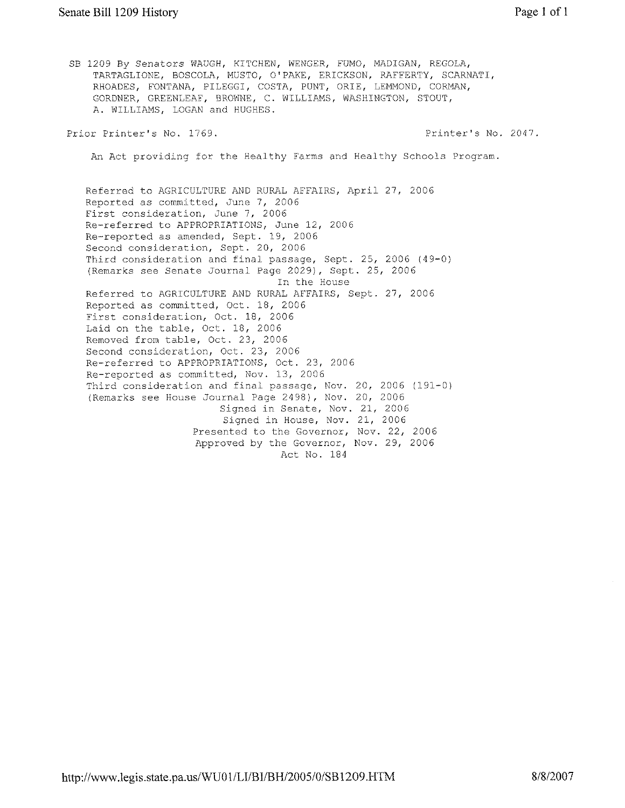SB 1209 By Senators WAUGH, KITCHEN, WENGER, FUMO, MADIGAN, REGOLA, TARTAGLIONE, BOSCOLA, MUSTO, O'PAKE, ERICKSON, RAFFERTY, SCARNATI, RHOADES, FONTANA, PILEGGI, COSTA, PUNT, ORIE, LEMMOND, CORMAN, GORDNER, GREENLEAF, BROWNE, C. WILLIAMS, WASHINGTON, STOUT, A. WILLIAMS, LOGAN and HUGHES.

Prior Printer's No. 1769.

Printer's No. 2047.

An Act providing for the Healthy Farms and Healthy Schools Program.

Referred to AGRICULTURE AND RURAL AFFAIRS, April 27, 2006 Reported as committed, June 7, 2006 First consideration, June 7, 2006 Re-referred to APPROPRIATIONS, June 12, 2006 Re-reported as amended, Sept. 19, 2006 Second consideration, Sept. 20, 2006 Third consideration and final passage, Sept. 25, 2006 (49-0) (Remarks see Senate Journal Page 2029), Sept. 25, 2006 In the House Referred to AGRICULTURE AND RURAL AFFAIRS, Sept. 27, 2006 Reported as committed, Oct. 18, 2006 First consideration, Oct. 18, 2006 Laid on the table, Oct. 18, 2006 Removed from table, Oct. 23, 2006 Second consideration, Oct. 23, 2006 Re-referred to APPROPRIATIONS, Oct. 23, 2006 Re-reported as committed, Nov. 13, 2006 Third consideration and final passage, Nov. 20, 2006 (191-0) (Remarks see House Journal Page 2498), Nov. 20, 2006 Signed in Senate, Nov. 21, 2006 Signed in House, Nov. 21, 2006 Presented to the Governor, Nov. 22, 2006 Approved by the Governor, Nov. 29, 2006 Act No. 184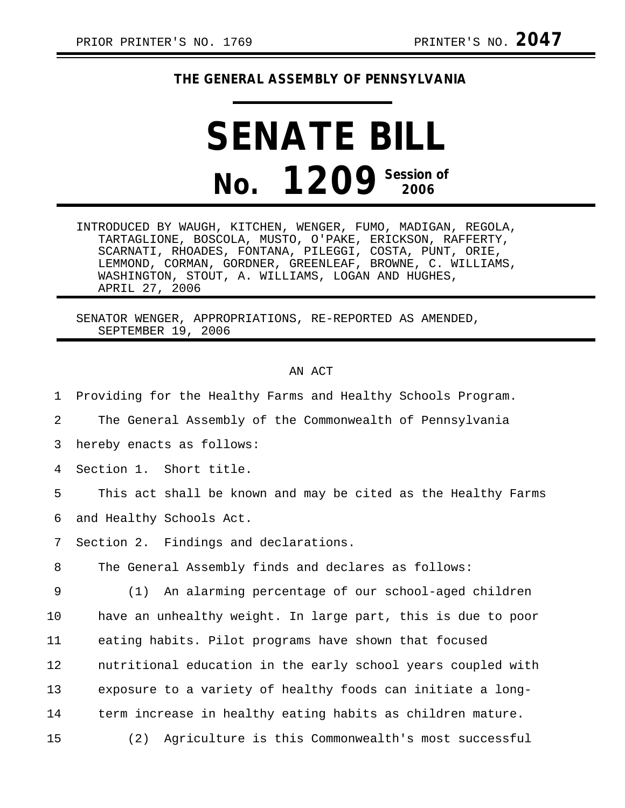## **THE GENERAL ASSEMBLY OF PENNSYLVANIA**

# **SENATE BILL No. 1209 Session of 2006**

INTRODUCED BY WAUGH, KITCHEN, WENGER, FUMO, MADIGAN, REGOLA, TARTAGLIONE, BOSCOLA, MUSTO, O'PAKE, ERICKSON, RAFFERTY, SCARNATI, RHOADES, FONTANA, PILEGGI, COSTA, PUNT, ORIE, LEMMOND, CORMAN, GORDNER, GREENLEAF, BROWNE, C. WILLIAMS, WASHINGTON, STOUT, A. WILLIAMS, LOGAN AND HUGHES, APRIL 27, 2006

SENATOR WENGER, APPROPRIATIONS, RE-REPORTED AS AMENDED, SEPTEMBER 19, 2006

## AN ACT

1 Providing for the Healthy Farms and Healthy Schools Program.

2 The General Assembly of the Commonwealth of Pennsylvania

3 hereby enacts as follows:

4 Section 1. Short title.

5 This act shall be known and may be cited as the Healthy Farms 6 and Healthy Schools Act.

7 Section 2. Findings and declarations.

8 The General Assembly finds and declares as follows:

9 (1) An alarming percentage of our school-aged children 10 have an unhealthy weight. In large part, this is due to poor 11 eating habits. Pilot programs have shown that focused 12 nutritional education in the early school years coupled with 13 exposure to a variety of healthy foods can initiate a long-14 term increase in healthy eating habits as children mature. 15 (2) Agriculture is this Commonwealth's most successful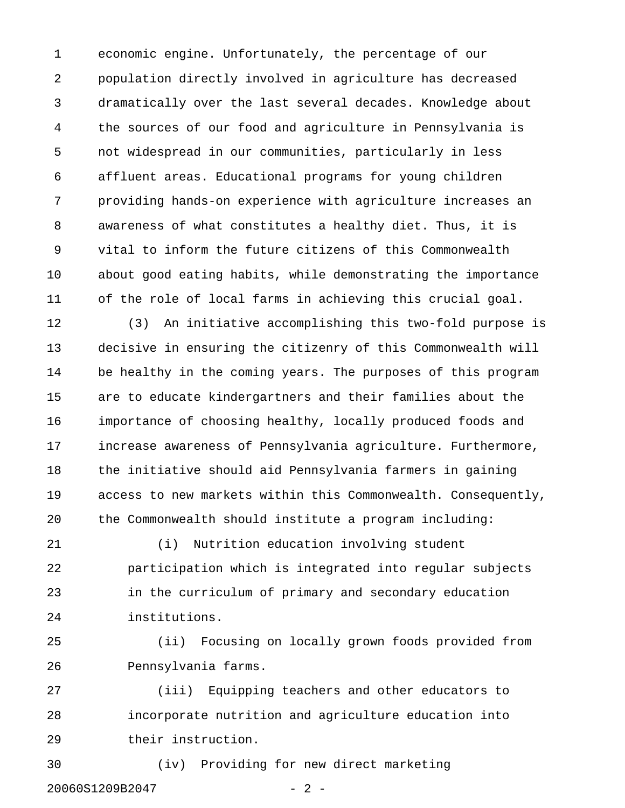1 economic engine. Unfortunately, the percentage of our 2 population directly involved in agriculture has decreased 3 dramatically over the last several decades. Knowledge about 4 the sources of our food and agriculture in Pennsylvania is 5 not widespread in our communities, particularly in less 6 affluent areas. Educational programs for young children 7 providing hands-on experience with agriculture increases an 8 awareness of what constitutes a healthy diet. Thus, it is 9 vital to inform the future citizens of this Commonwealth 10 about good eating habits, while demonstrating the importance 11 of the role of local farms in achieving this crucial goal.

12 (3) An initiative accomplishing this two-fold purpose is 13 decisive in ensuring the citizenry of this Commonwealth will 14 be healthy in the coming years. The purposes of this program 15 are to educate kindergartners and their families about the 16 importance of choosing healthy, locally produced foods and 17 increase awareness of Pennsylvania agriculture. Furthermore, 18 the initiative should aid Pennsylvania farmers in gaining 19 access to new markets within this Commonwealth. Consequently, 20 the Commonwealth should institute a program including:

21 (i) Nutrition education involving student 22 participation which is integrated into regular subjects 23 in the curriculum of primary and secondary education 24 institutions.

25 (ii) Focusing on locally grown foods provided from 26 Pennsylvania farms.

27 (iii) Equipping teachers and other educators to 28 incorporate nutrition and agriculture education into 29 their instruction.

30 (iv) Providing for new direct marketing 20060S1209B2047 - 2 -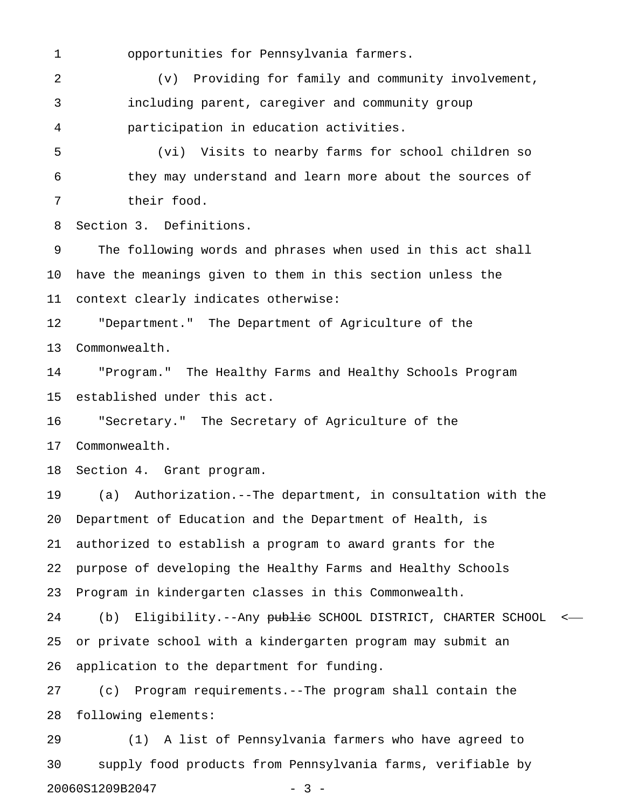1 opportunities for Pennsylvania farmers.

2 (v) Providing for family and community involvement, 3 including parent, caregiver and community group 4 participation in education activities.

5 (vi) Visits to nearby farms for school children so 6 they may understand and learn more about the sources of 7 their food.

8 Section 3. Definitions.

9 The following words and phrases when used in this act shall 10 have the meanings given to them in this section unless the 11 context clearly indicates otherwise:

12 "Department." The Department of Agriculture of the 13 Commonwealth.

14 "Program." The Healthy Farms and Healthy Schools Program 15 established under this act.

16 "Secretary." The Secretary of Agriculture of the 17 Commonwealth.

18 Section 4. Grant program.

19 (a) Authorization.--The department, in consultation with the 20 Department of Education and the Department of Health, is 21 authorized to establish a program to award grants for the 22 purpose of developing the Healthy Farms and Healthy Schools 23 Program in kindergarten classes in this Commonwealth.

24 (b) Eligibility.--Any public SCHOOL DISTRICT, CHARTER SCHOOL <-25 or private school with a kindergarten program may submit an 26 application to the department for funding.

27 (c) Program requirements.--The program shall contain the 28 following elements:

29 (1) A list of Pennsylvania farmers who have agreed to 30 supply food products from Pennsylvania farms, verifiable by 20060S1209B2047 - 3 -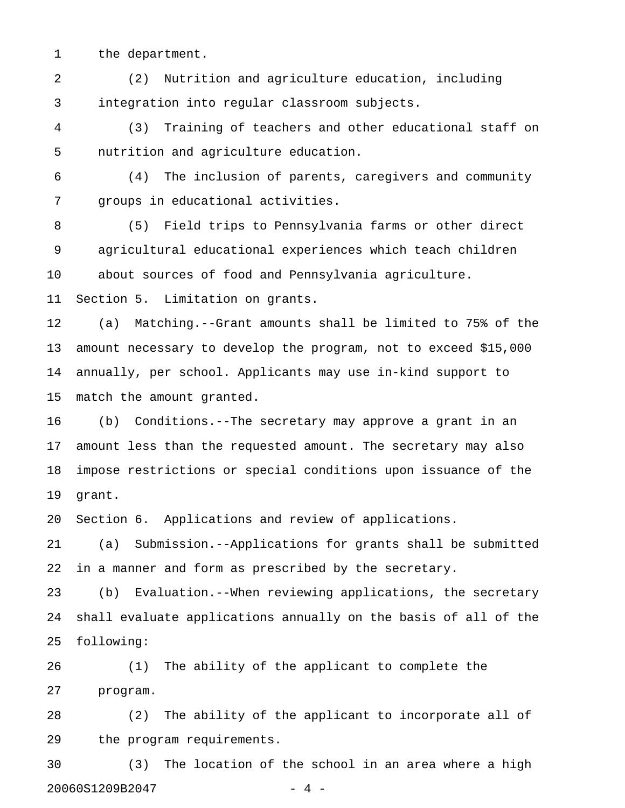1 the department.

2 (2) Nutrition and agriculture education, including 3 integration into regular classroom subjects.

4 (3) Training of teachers and other educational staff on 5 nutrition and agriculture education.

6 (4) The inclusion of parents, caregivers and community 7 groups in educational activities.

8 (5) Field trips to Pennsylvania farms or other direct 9 agricultural educational experiences which teach children 10 about sources of food and Pennsylvania agriculture.

11 Section 5. Limitation on grants.

12 (a) Matching.--Grant amounts shall be limited to 75% of the 13 amount necessary to develop the program, not to exceed \$15,000 14 annually, per school. Applicants may use in-kind support to 15 match the amount granted.

16 (b) Conditions.--The secretary may approve a grant in an 17 amount less than the requested amount. The secretary may also 18 impose restrictions or special conditions upon issuance of the 19 grant.

20 Section 6. Applications and review of applications.

21 (a) Submission.--Applications for grants shall be submitted 22 in a manner and form as prescribed by the secretary.

23 (b) Evaluation.--When reviewing applications, the secretary 24 shall evaluate applications annually on the basis of all of the 25 following:

26 (1) The ability of the applicant to complete the 27 program.

28 (2) The ability of the applicant to incorporate all of 29 the program requirements.

30 (3) The location of the school in an area where a high 20060S1209B2047 - 4 -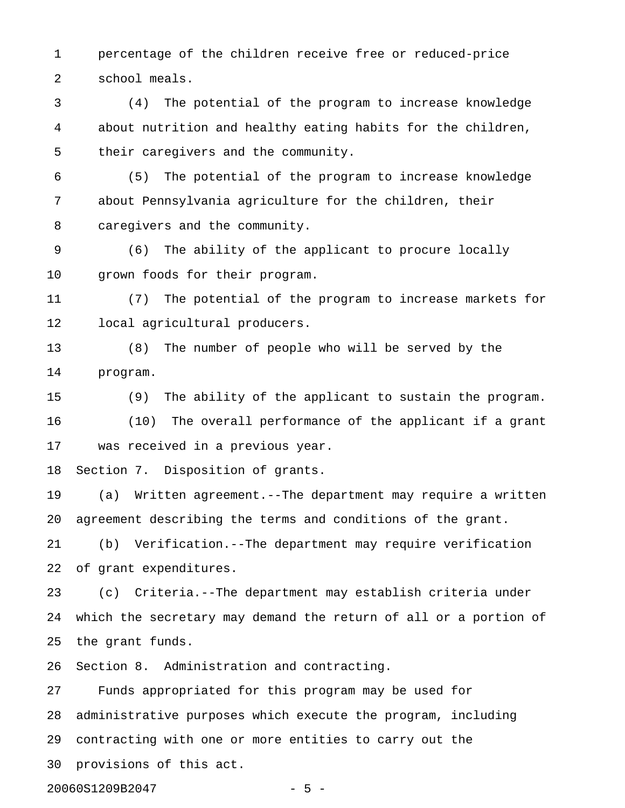1 percentage of the children receive free or reduced-price 2 school meals.

3 (4) The potential of the program to increase knowledge 4 about nutrition and healthy eating habits for the children, 5 their caregivers and the community.

6 (5) The potential of the program to increase knowledge 7 about Pennsylvania agriculture for the children, their 8 caregivers and the community.

9 (6) The ability of the applicant to procure locally 10 grown foods for their program.

11 (7) The potential of the program to increase markets for 12 local agricultural producers.

13 (8) The number of people who will be served by the 14 program.

15 (9) The ability of the applicant to sustain the program. 16 (10) The overall performance of the applicant if a grant 17 was received in a previous year.

18 Section 7. Disposition of grants.

19 (a) Written agreement.--The department may require a written 20 agreement describing the terms and conditions of the grant.

21 (b) Verification.--The department may require verification 22 of grant expenditures.

23 (c) Criteria.--The department may establish criteria under 24 which the secretary may demand the return of all or a portion of 25 the grant funds.

26 Section 8. Administration and contracting.

27 Funds appropriated for this program may be used for 28 administrative purposes which execute the program, including 29 contracting with one or more entities to carry out the 30 provisions of this act.

20060S1209B2047 - 5 -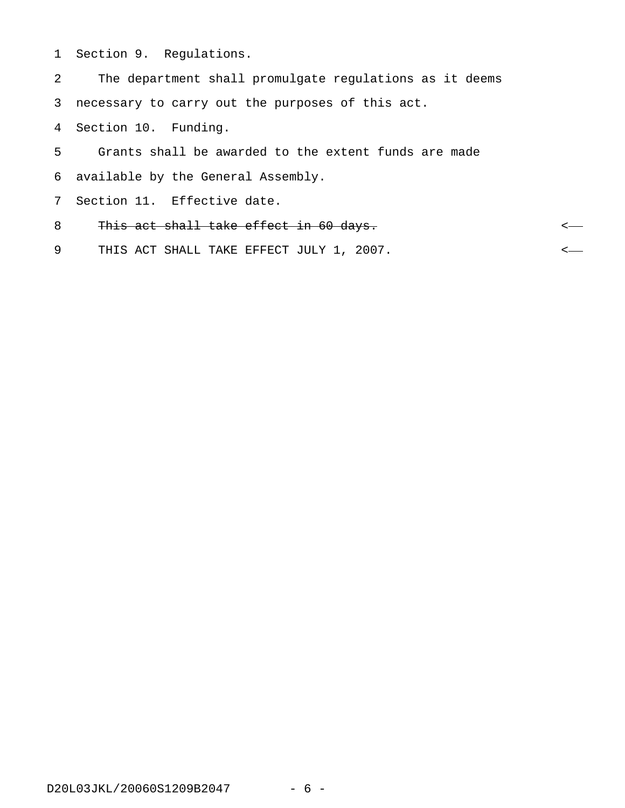1 Section 9. Regulations.

2 The department shall promulgate regulations as it deems 3 necessary to carry out the purposes of this act. 4 Section 10. Funding. 5 Grants shall be awarded to the extent funds are made 6 available by the General Assembly. 7 Section 11. Effective date. 8 This act shall take effect in 60 days. 9 THIS ACT SHALL TAKE EFFECT JULY 1, 2007.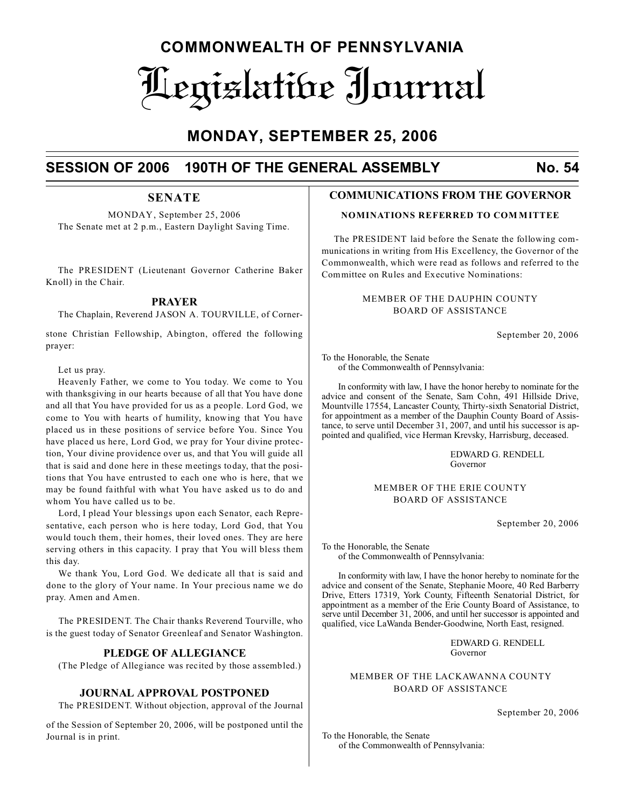## **COMMONWEALTH OF PENNSYLVANIA** Legislative Journal

## **MONDAY, SEPTEMBER 25, 2006**

## **SESSION OF 2006 190TH OF THE GENERAL ASSEMBLY No. 54**

## **SENATE**

MONDAY, September 25, 2006 The Senate met at 2 p.m., Eastern Daylight Saving Time.

The PRESIDENT (Lieutenant Governor Catherine Baker Knoll) in the Chair.

## **PRAYER**

The Chaplain, Reverend JASON A. TOURVILLE, of Corner-

stone Christian Fellowship, Abington, offered the following prayer:

## Let us pray.

Heavenly Father, we come to You today. We come to You with thanksgiving in our hearts because of all that You have done and all that You have provided for us as a people. Lord God, we come to You with hearts of humility, knowing that You have placed us in these positions of service before You. Since You have placed us here, Lord God, we pray for Your divine protection, Your divine providence over us, and that You will guide all that is said and done here in these meetings today, that the positions that You have entrusted to each one who is here, that we may be found faithful with what You have asked us to do and whom You have called us to be.

Lord, I plead Your blessings upon each Senator, each Representative, each person who is here today, Lord God, that You would touch them, their homes, their loved ones. They are here serving others in this capacity. I pray that You will bless them this day.

We thank You, Lord God. We dedicate all that is said and done to the glory of Your name. In Your precious name we do pray. Amen and Amen.

The PRESIDENT. The Chair thanks Reverend Tourville, who is the guest today of Senator Greenleaf and Senator Washington.

## **PLEDGE OF ALLEGIANCE**

(The Pledge of Allegiance was recited by those assembled.)

## **JOURNAL APPROVAL POSTPONED**

The PRESIDENT. Without objection, approval of the Journal

of the Session of September 20, 2006, will be postponed until the Journal is in print.

## **COMMUNICATIONS FROM THE GOVERNOR**

## **NOMINATIONS REFERRED TO COM MITTEE**

The PRESIDENT laid before the Senate the following communications in writing from His Excellency, the Governor of the Commonwealth, which were read as follows and referred to the Committee on Rules and Executive Nominations:

## MEMBER OF THE DAUPHIN COUNTY BOARD OF ASSISTANCE

September 20, 2006

To the Honorable, the Senate of the Commonwealth of Pennsylvania:

In conformity with law, I have the honor hereby to nominate for the advice and consent of the Senate, Sam Cohn, 491 Hillside Drive, Mountville 17554, Lancaster County, Thirty-sixth Senatorial District, for appointment as a member of the Dauphin County Board of Assistance, to serve until December 31, 2007, and until his successor is appointed and qualified, vice Herman Krevsky, Harrisburg, deceased.

> EDWARD G. RENDELL Governor

## MEMBER OF THE ERIE COUNTY BOARD OF ASSISTANCE

September 20, 2006

To the Honorable, the Senate of the Commonwealth of Pennsylvania:

In conformity with law, I have the honor hereby to nominate for the advice and consent of the Senate, Stephanie Moore, 40 Red Barberry Drive, Etters 17319, York County, Fifteenth Senatorial District, for appointment as a member of the Erie County Board of Assistance, to serve until December 31, 2006, and until her successor is appointed and qualified, vice LaWanda Bender-Goodwine, North East, resigned.

> EDWARD G. RENDELL Governor

MEMBER OF THE LACKAWANNA COUNTY BOARD OF ASSISTANCE

September 20, 2006

To the Honorable, the Senate of the Commonwealth of Pennsylvania: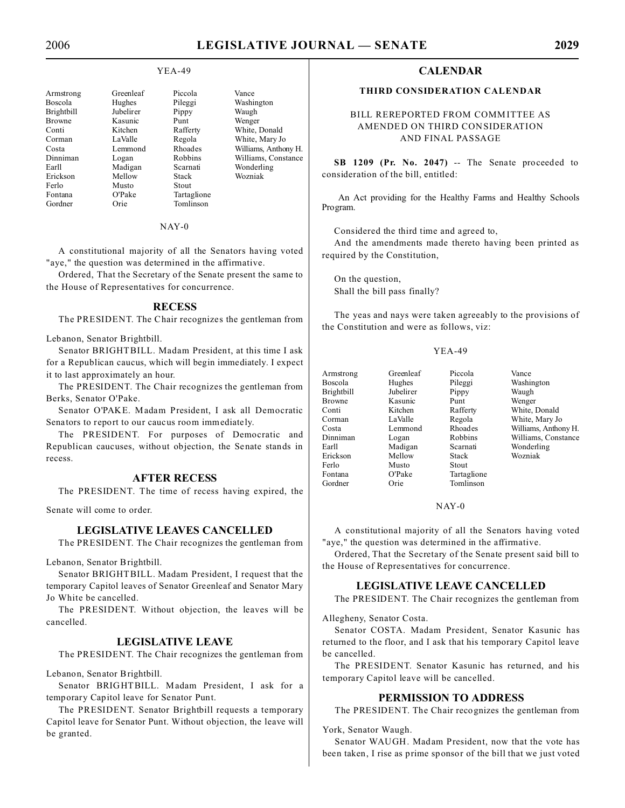## YEA-49

| Greenleaf | Piccola        | Vance                |
|-----------|----------------|----------------------|
| Hughes    | Pileggi        | Washington           |
| Jubelirer | Pippy          | Waugh                |
| Kasunic   | Punt           | Wenger               |
| Kitchen   | Rafferty       | White, Donald        |
| LaValle   | Regola         | White, Mary Jo       |
| Lemmond   | Rhoades        | Williams, Anthony H. |
| Logan     | <b>Robbins</b> | Williams, Constance  |
| Madigan   | Scarnati       | Wonderling           |
| Mellow    | Stack          | Wozniak              |
| Musto     | <b>Stout</b>   |                      |
| O'Pake    | Tartaglione    |                      |
| Orie      | Tomlinson      |                      |
|           |                |                      |

NAY-0

A constitutional majority of all the Senators having voted "aye," the question was determined in the affirmative.

Ordered, That the Secretary of the Senate present the same to the House of Representatives for concurrence.

### **RECESS**

The PRESIDENT. The Chair recognizes the gentleman from

Lebanon, Senator Brightbill.

Senator BRIGHTBILL. Madam President, at this time I ask for a Republican caucus, which will begin immediately. I expect it to last approximately an hour.

The PRESIDENT. The Chair recognizes the gentleman from Berks, Senator O'Pake.

Senator O'PAKE. Madam President, I ask all Democratic Senators to report to our caucus room immediately.

The PRESIDENT. For purposes of Democratic and Republican caucuses, without objection, the Senate stands in recess.

## **AFTER RECESS**

The PRESIDENT. The time of recess having expired, the

Senate will come to order.

## **LEGISLATIVE LEAVES CANCELLED**

The PRESIDENT. The Chair recognizes the gentleman from

Lebanon, Senator Brightbill.

Senator BRIGHTBILL. Madam President, I request that the temporary Capitol leaves of Senator Greenleaf and Senator Mary Jo White be cancelled.

The PRESIDENT. Without objection, the leaves will be cancelled.

## **LEGISLATIVE LEAVE**

The PRESIDENT. The Chair recognizes the gentleman from

Lebanon, Senator Brightbill.

Senator BRIGHTBILL. Madam President, I ask for a temporary Capitol leave for Senator Punt.

The PRESIDENT. Senator Brightbill requests a temporary Capitol leave for Senator Punt. Without objection, the leave will be granted.

## **CALENDAR**

## **THIRD CONSIDERATION CALENDAR**

## BILL REREPORTED FROM COMMITTEE AS AMENDED ON THIRD CONSIDERATION AND FINAL PASSAGE

**SB 1209 (Pr. No. 2047)** -- The Senate proceeded to consideration of the bill, entitled:

An Act providing for the Healthy Farms and Healthy Schools Program.

Considered the third time and agreed to,

And the amendments made thereto having been printed as required by the Constitution,

On the question, Shall the bill pass finally?

The yeas and nays were taken agreeably to the provisions of the Constitution and were as follows, viz:

#### YEA-49

| Armstrong     | Greenleaf | Piccola     | Vance                |
|---------------|-----------|-------------|----------------------|
| Boscola       | Hughes    | Pileggi     | Washington           |
| Brightbill    | Jubelirer | Pippy       | Waugh                |
| <b>Browne</b> | Kasunic   | Punt        | Wenger               |
| Conti         | Kitchen   | Rafferty    | White, Donald        |
| Corman        | LaValle   | Regola      | White, Mary Jo       |
| Costa         | Lemmond   | Rhoades     | Williams, Anthony H. |
| Dinniman      | Logan     | Robbins     | Williams, Constance  |
| Earll         | Madigan   | Scarnati    | Wonderling           |
| Erickson      | Mellow    | Stack       | Wozniak              |
| Ferlo         | Musto     | Stout       |                      |
| Fontana       | O'Pake    | Tartaglione |                      |
| Gordner       | Orie      | Tomlinson   |                      |

## NAY-0

A constitutional majority of all the Senators having voted "aye," the question was determined in the affirmative.

Ordered, That the Secretary of the Senate present said bill to the House of Representatives for concurrence.

#### **LEGISLATIVE LEAVE CANCELLED**

The PRESIDENT. The Chair recognizes the gentleman from

Allegheny, Senator Costa.

Senator COSTA. Madam President, Senator Kasunic has returned to the floor, and I ask that his temporary Capitol leave be cancelled.

The PRESIDENT. Senator Kasunic has returned, and his temporary Capitol leave will be cancelled.

## **PERMISSION TO ADDRESS**

The PRESIDENT. The Chair recognizes the gentleman from

York, Senator Waugh.

Senator WAUGH. Madam President, now that the vote has been taken, I rise as prime sponsor of the bill that we just voted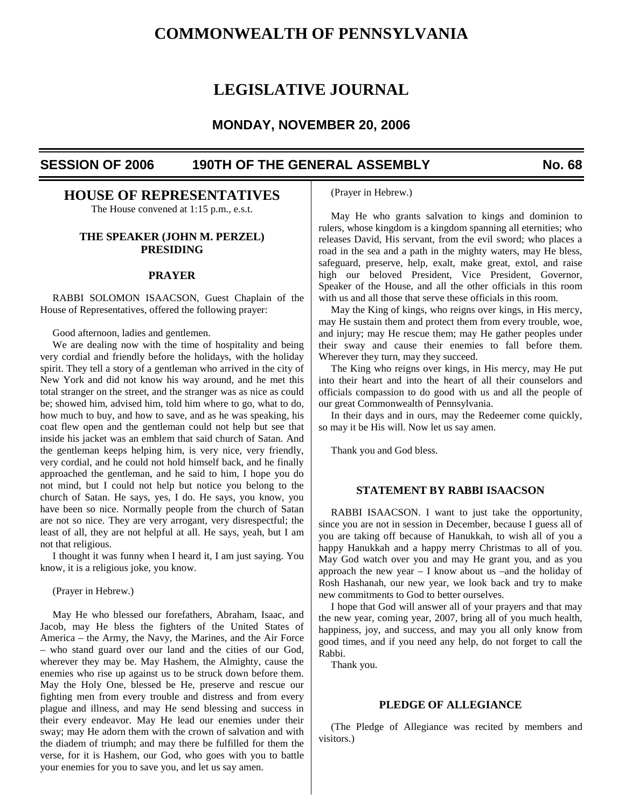## **COMMONWEALTH OF PENNSYLVANIA**

## **LEGISLATIVE JOURNAL**

## **MONDAY, NOVEMBER 20, 2006**

## **SESSION OF 2006 190TH OF THE GENERAL ASSEMBLY No. 68**

## **HOUSE OF REPRESENTATIVES**

The House convened at 1:15 p.m., e.s.t.

## **THE SPEAKER (JOHN M. PERZEL) PRESIDING**

## **PRAYER**

RABBI SOLOMON ISAACSON, Guest Chaplain of the House of Representatives, offered the following prayer:

Good afternoon, ladies and gentlemen.

We are dealing now with the time of hospitality and being very cordial and friendly before the holidays, with the holiday spirit. They tell a story of a gentleman who arrived in the city of New York and did not know his way around, and he met this total stranger on the street, and the stranger was as nice as could be; showed him, advised him, told him where to go, what to do, how much to buy, and how to save, and as he was speaking, his coat flew open and the gentleman could not help but see that inside his jacket was an emblem that said church of Satan. And the gentleman keeps helping him, is very nice, very friendly, very cordial, and he could not hold himself back, and he finally approached the gentleman, and he said to him, I hope you do not mind, but I could not help but notice you belong to the church of Satan. He says, yes, I do. He says, you know, you have been so nice. Normally people from the church of Satan are not so nice. They are very arrogant, very disrespectful; the least of all, they are not helpful at all. He says, yeah, but I am not that religious.

I thought it was funny when I heard it, I am just saying. You know, it is a religious joke, you know.

(Prayer in Hebrew.)

May He who blessed our forefathers, Abraham, Isaac, and Jacob, may He bless the fighters of the United States of America – the Army, the Navy, the Marines, and the Air Force – who stand guard over our land and the cities of our God, wherever they may be. May Hashem, the Almighty, cause the enemies who rise up against us to be struck down before them. May the Holy One, blessed be He, preserve and rescue our fighting men from every trouble and distress and from every plague and illness, and may He send blessing and success in their every endeavor. May He lead our enemies under their sway; may He adorn them with the crown of salvation and with the diadem of triumph; and may there be fulfilled for them the verse, for it is Hashem, our God, who goes with you to battle your enemies for you to save you, and let us say amen.

(Prayer in Hebrew.)

May He who grants salvation to kings and dominion to rulers, whose kingdom is a kingdom spanning all eternities; who releases David, His servant, from the evil sword; who places a road in the sea and a path in the mighty waters, may He bless, safeguard, preserve, help, exalt, make great, extol, and raise high our beloved President, Vice President, Governor, Speaker of the House, and all the other officials in this room with us and all those that serve these officials in this room.

May the King of kings, who reigns over kings, in His mercy, may He sustain them and protect them from every trouble, woe, and injury; may He rescue them; may He gather peoples under their sway and cause their enemies to fall before them. Wherever they turn, may they succeed.

The King who reigns over kings, in His mercy, may He put into their heart and into the heart of all their counselors and officials compassion to do good with us and all the people of our great Commonwealth of Pennsylvania.

In their days and in ours, may the Redeemer come quickly, so may it be His will. Now let us say amen.

Thank you and God bless.

## **STATEMENT BY RABBI ISAACSON**

RABBI ISAACSON. I want to just take the opportunity, since you are not in session in December, because I guess all of you are taking off because of Hanukkah, to wish all of you a happy Hanukkah and a happy merry Christmas to all of you. May God watch over you and may He grant you, and as you approach the new year – I know about us –and the holiday of Rosh Hashanah, our new year, we look back and try to make new commitments to God to better ourselves.

I hope that God will answer all of your prayers and that may the new year, coming year, 2007, bring all of you much health, happiness, joy, and success, and may you all only know from good times, and if you need any help, do not forget to call the Rabbi.

Thank you.

## **PLEDGE OF ALLEGIANCE**

(The Pledge of Allegiance was recited by members and visitors.)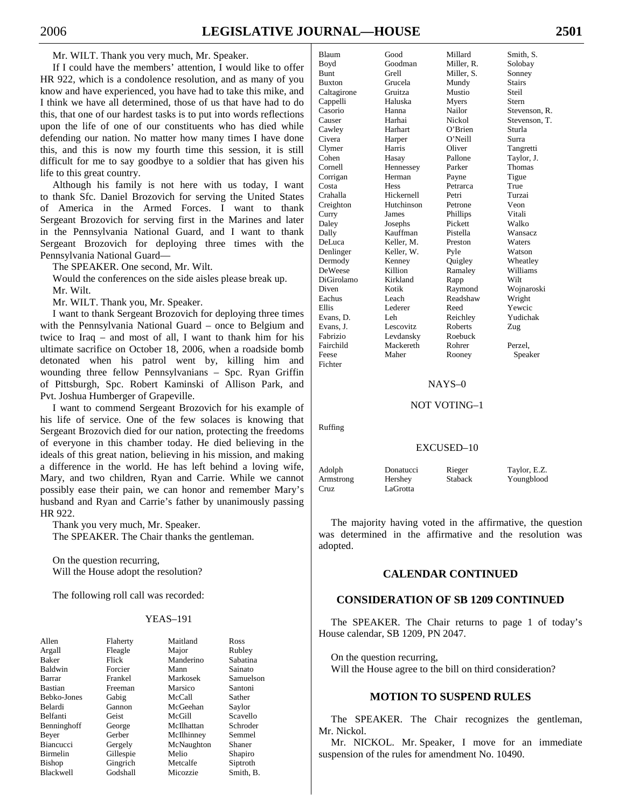If I could have the members' attention, I would like to offer HR 922, which is a condolence resolution, and as many of you know and have experienced, you have had to take this mike, and I think we have all determined, those of us that have had to do this, that one of our hardest tasks is to put into words reflections upon the life of one of our constituents who has died while defending our nation. No matter how many times I have done this, and this is now my fourth time this session, it is still difficult for me to say goodbye to a soldier that has given his life to this great country.

Although his family is not here with us today, I want to thank Sfc. Daniel Brozovich for serving the United States of America in the Armed Forces. I want to thank Sergeant Brozovich for serving first in the Marines and later in the Pennsylvania National Guard, and I want to thank Sergeant Brozovich for deploying three times with the Pennsylvania National Guard—

The SPEAKER. One second, Mr. Wilt.

Would the conferences on the side aisles please break up. Mr. Wilt.

Mr. WILT. Thank you, Mr. Speaker.

I want to thank Sergeant Brozovich for deploying three times with the Pennsylvania National Guard – once to Belgium and twice to Iraq – and most of all, I want to thank him for his ultimate sacrifice on October 18, 2006, when a roadside bomb detonated when his patrol went by, killing him and wounding three fellow Pennsylvanians – Spc. Ryan Griffin of Pittsburgh, Spc. Robert Kaminski of Allison Park, and Pvt. Joshua Humberger of Grapeville.

I want to commend Sergeant Brozovich for his example of his life of service. One of the few solaces is knowing that Sergeant Brozovich died for our nation, protecting the freedoms of everyone in this chamber today. He died believing in the ideals of this great nation, believing in his mission, and making a difference in the world. He has left behind a loving wife, Mary, and two children, Ryan and Carrie. While we cannot possibly ease their pain, we can honor and remember Mary's husband and Ryan and Carrie's father by unanimously passing HR 922.

Thank you very much, Mr. Speaker. The SPEAKER. The Chair thanks the gentleman.

On the question recurring, Will the House adopt the resolution?

The following roll call was recorded:

## YEAS–191

| Allen            | Flaherty  | Maitland   | Ross      |
|------------------|-----------|------------|-----------|
| Argall           | Fleagle   | Major      | Rubley    |
| <b>Baker</b>     | Flick     | Manderino  | Sabatina  |
| Baldwin          | Forcier   | Mann       | Sainato   |
| Barrar           | Frankel   | Markosek   | Samuelson |
| <b>Bastian</b>   | Freeman   | Marsico    | Santoni   |
| Bebko-Jones      | Gabig     | McCall     | Sather    |
| Belardi          | Gannon    | McGeehan   | Saylor    |
| <b>Belfanti</b>  | Geist     | McGill     | Scavello  |
| Benninghoff      | George    | McIlhattan | Schroder  |
| Beyer            | Gerber    | McIlhinney | Semmel    |
| <b>Biancucci</b> | Gergely   | McNaughton | Shaner    |
| Birmelin         | Gillespie | Melio      | Shapiro   |
| <b>Bishop</b>    | Gingrich  | Metcalfe   | Siptroth  |
| Blackwell        | Godshall  | Micozzie   | Smith, B. |

| Blaum          | Good           | Millard    | Smith, S.      |
|----------------|----------------|------------|----------------|
| Boyd           | Goodman        | Miller, R. | Solobay        |
| <b>Bunt</b>    | Grell          | Miller. S. | Sonney         |
| <b>Buxton</b>  | Grucela        | Mundy      | Stairs         |
| Caltagirone    | Gruitza        | Mustio     | Steil          |
| Cappelli       | Haluska        | Myers      | Stern          |
| Casorio        | Hanna          | Nailor     | Stevenson, R.  |
| Causer         | Harhai         | Nickol     | Stevenson, T.  |
| Cawley         | Harhart        | $O'$ Brien | Sturla         |
| Civera         | Harper         | $O'$ Neill | Surra          |
| Clymer         | Harris         | Oliver     | Tangretti      |
| Cohen          | Hasay          | Pallone    | Taylor, J.     |
| Cornell        | Hennessey      | Parker     | <b>Thomas</b>  |
| Corrigan       | Herman         | Payne      | Tigue          |
| Costa          | <b>Hess</b>    | Petrarca   | True           |
| Crahalla       | Hickernell     | Petri      | Turzai         |
| Creighton      | Hutchinson     | Petrone    | Veon           |
| Curry          | James          | Phillips   | Vitali         |
| Daley          | Josephs        | Pickett    | Walko          |
| Dally          | Kauffman       | Pistella   | <b>Wansacz</b> |
| DeLuca         | Keller, M.     | Preston    | Waters         |
| Denlinger      | Keller, W.     | Pyle       | Watson         |
| Dermody        | Kenney         | Quigley    | Wheatley       |
| <b>DeWeese</b> | Killion        | Ramaley    | Williams       |
| DiGirolamo     | Kirkland       | Rapp       | Wilt           |
| Diven          | Kotik          | Raymond    | Wojnaroski     |
| Eachus         | Leach          | Readshaw   | Wright         |
| Ellis          | <b>Lederer</b> | Reed       | Yewcic         |
| Evans. D.      | Leh            | Reichley   | Yudichak       |
| Evans, J.      | Lescovitz      | Roberts    | Zug            |
| Fabrizio       | Levdansky      | Roebuck    |                |
| Fairchild      | Mackereth      | Rohrer     | Perzel.        |
| Feese          | Maher          | Rooney     | Speaker        |
| Fichter        |                |            |                |

#### NAYS–0

#### NOT VOTING–1

Ruffing

#### EXCUSED–10

| Adolph    | Donatucci | Rieger         | Taylor, E.Z. |
|-----------|-----------|----------------|--------------|
| Armstrong | Hershey   | <b>Staback</b> | Youngblood   |
| Cruz      | LaGrotta  |                |              |

The majority having voted in the affirmative, the question was determined in the affirmative and the resolution was adopted.

## **CALENDAR CONTINUED**

## **CONSIDERATION OF SB 1209 CONTINUED**

The SPEAKER. The Chair returns to page 1 of today's House calendar, SB 1209, PN 2047.

On the question recurring, Will the House agree to the bill on third consideration?

## **MOTION TO SUSPEND RULES**

The SPEAKER. The Chair recognizes the gentleman, Mr. Nickol.

Mr. NICKOL. Mr. Speaker, I move for an immediate suspension of the rules for amendment No. 10490.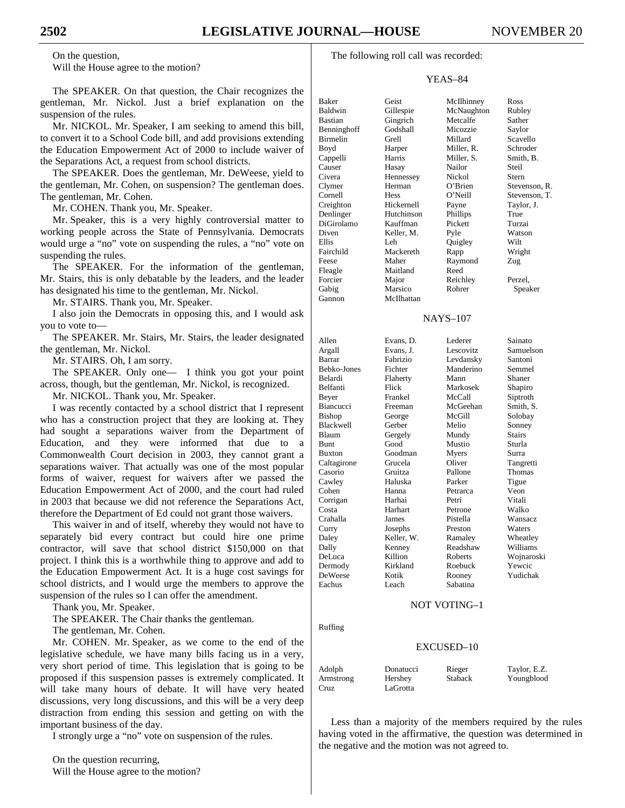On the question, Will the House agree to the motion?

The SPEAKER. On that question, the Chair recognizes the gentleman, Mr. Nickol. Just a brief explanation on the suspension of the rules.

Mr. NICKOL. Mr. Speaker, I am seeking to amend this bill, to convert it to a School Code bill, and add provisions extending the Education Empowerment Act of 2000 to include waiver of the Separations Act, a request from school districts.

The SPEAKER. Does the gentleman, Mr. DeWeese, yield to the gentleman, Mr. Cohen, on suspension? The gentleman does. The gentleman, Mr. Cohen.

Mr. COHEN. Thank you, Mr. Speaker.

Mr. Speaker, this is a very highly controversial matter to working people across the State of Pennsylvania. Democrats would urge a "no" vote on suspending the rules, a "no" vote on suspending the rules.

The SPEAKER. For the information of the gentleman, Mr. Stairs, this is only debatable by the leaders, and the leader has designated his time to the gentleman, Mr. Nickol.

Mr. STAIRS. Thank you, Mr. Speaker.

I also join the Democrats in opposing this, and I would ask you to vote to—

The SPEAKER. Mr. Stairs, Mr. Stairs, the leader designated the gentleman, Mr. Nickol.

Mr. STAIRS. Oh, I am sorry.

The SPEAKER. Only one— I think you got your point across, though, but the gentleman, Mr. Nickol, is recognized.

Mr. NICKOL. Thank you, Mr. Speaker.

I was recently contacted by a school district that I represent who has a construction project that they are looking at. They had sought a separations waiver from the Department of Education, and they were informed that due to a Commonwealth Court decision in 2003, they cannot grant a separations waiver. That actually was one of the most popular forms of waiver, request for waivers after we passed the Education Empowerment Act of 2000, and the court had ruled in 2003 that because we did not reference the Separations Act, therefore the Department of Ed could not grant those waivers.

This waiver in and of itself, whereby they would not have to separately bid every contract but could hire one prime contractor, will save that school district \$150,000 on that project. I think this is a worthwhile thing to approve and add to the Education Empowerment Act. It is a huge cost savings for school districts, and I would urge the members to approve the suspension of the rules so I can offer the amendment.

Thank you, Mr. Speaker.

The SPEAKER. The Chair thanks the gentleman.

The gentleman, Mr. Cohen.

Mr. COHEN. Mr. Speaker, as we come to the end of the legislative schedule, we have many bills facing us in a very, very short period of time. This legislation that is going to be proposed if this suspension passes is extremely complicated. It will take many hours of debate. It will have very heated discussions, very long discussions, and this will be a very deep distraction from ending this session and getting on with the important business of the day.

I strongly urge a "no" vote on suspension of the rules.

The following roll call was recorded:

## YEAS–84

Baker Geist McIlhinney Ross<br>
Baldwin Gillespie McNaughton Rubley Gillespie McNaughton Bastian Gingrich Metcalfe Sather<br>
Benninghoff Godshall Micozzie Saylor Benninghoff Godshall Micozzie Saylor Birmelin Grell Millard Scavello Boyd Harper Miller, R. Schroder Cappelli Harris Miller, S. Smith, B.<br>
Causer Hasay Nailor Steil Causer Civera Hennessey Nickol Stern Clymer Herman O'Brien Stevenson, R. Cornell Hess O'Neill Stevenson, T. Creighton Hickernell Payne Taylor, J. Denlinger Hutchinson Phillips True DiGirolamo Kauffman Pickett Turzai Diven Keller, M. Pyle Watson Ellis Leh Quigley Wilt Fairchild Mackereth Rapp Wright Feese Maher Raymond Zug Fleagle Maitland Reed Forcier Major Reichley Perzel,<br>
Gabis Marsico Rohrer Speal Gabig Marsico Rohrer Speaker Gannon McIlhattan Allen Evans, D. Lederer Sainato Argall Evans, J. Lescovitz Samuelson Barrar Fabrizio Levdansky Santoni Bebko-Jones Fichter Manderino Semmel Belardi Flaherty Mann Shaner Belfanti Flick Markosek Shapiro

## NAYS–107

Beyer Frankel McCall Siptroth Biancucci Freeman McGeehan Smith, S. Bishop George McGill Solobay Blackwell Gerber Melio Sonney Blaum Gergely Mundy Stairs Bunt Good Mustio Sturla Buxton Goodman Myers Surra Caltagirone Grucela Oliver Tangretti Casorio Gruitza Pallone Thomas Cawley Haluska Parker Tigue Cohen Hanna Petrarca Veon Corrigan Harhai Petri Vitali Costa Harhart Petrone Walko Crahalla James Pistella Wansacz Curry Josephs Preston Waters Daley Keller, W. Ramaley Wheatley Dally Kenney Readshaw Williams DeLuca Killion Roberts Wojnaroski DeWeese Kotik Rooney Yudichak

## NOT VOTING–1

Roebuck

Ruffing

## EXCUSED–10

| Adolph    | Donatucci | Rieger         | Taylor, E.Z. |
|-----------|-----------|----------------|--------------|
| Armstrong | Hershey   | <b>Staback</b> | Youngblood   |
| Cruz      | LaGrotta  |                |              |

Leach Sabatina

Less than a majority of the members required by the rules having voted in the affirmative, the question was determined in the negative and the motion was not agreed to.